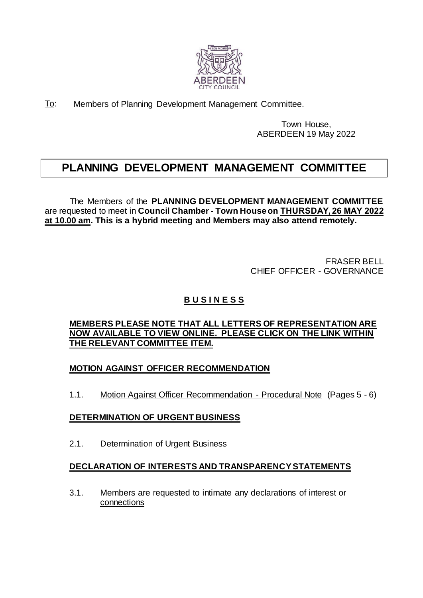

To: Members of Planning Development Management Committee.

Town House, ABERDEEN 19 May 2022

# **PLANNING DEVELOPMENT MANAGEMENT COMMITTEE**

The Members of the **PLANNING DEVELOPMENT MANAGEMENT COMMITTEE** are requested to meet in **Council Chamber - Town Houseon THURSDAY, 26 MAY 2022 at 10.00 am. This is a hybrid meeting and Members may also attend remotely.** 

> FRASER BELL CHIEF OFFICER - GOVERNANCE

## **B U S I N E S S**

#### **MEMBERS PLEASE NOTE THAT ALL LETTERS OF REPRESENTATION ARE NOW AVAILABLE TO VIEW ONLINE. PLEASE CLICK ON THE LINK WITHIN THE RELEVANT COMMITTEE ITEM.**

#### **MOTION AGAINST OFFICER RECOMMENDATION**

1.1. Motion Against Officer Recommendation - Procedural Note (Pages 5 - 6)

#### **DETERMINATION OF URGENT BUSINESS**

2.1. Determination of Urgent Business

### **DECLARATION OF INTERESTS AND TRANSPARENCY STATEMENTS**

3.1. Members are requested to intimate any declarations of interest or connections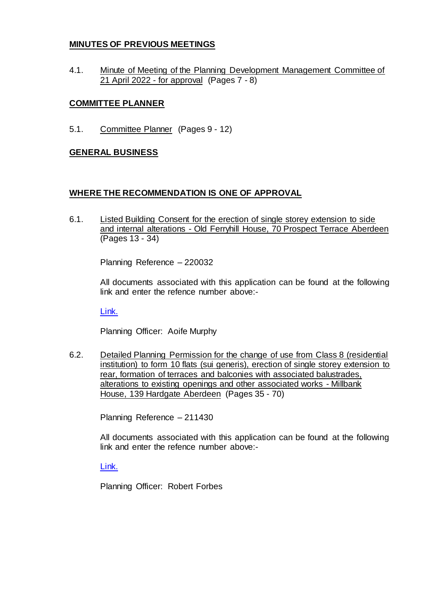#### **MINUTES OF PREVIOUS MEETINGS**

4.1. Minute of Meeting of the Planning Development Management Committee of 21 April 2022 - for approval (Pages 7 - 8)

#### **COMMITTEE PLANNER**

5.1. Committee Planner (Pages 9 - 12)

#### **GENERAL BUSINESS**

#### **WHERE THE RECOMMENDATION IS ONE OF APPROVAL**

6.1. Listed Building Consent for the erection of single storey extension to side and internal alterations - Old Ferryhill House, 70 Prospect Terrace Aberdeen (Pages 13 - 34)

Planning Reference – 220032

All documents associated with this application can be found at the following link and enter the refence number above:-

[Link.](https://publicaccess.aberdeencity.gov.uk/online-applications/)

Planning Officer: Aoife Murphy

6.2. Detailed Planning Permission for the change of use from Class 8 (residential institution) to form 10 flats (sui generis), erection of single storey extension to rear, formation of terraces and balconies with associated balustrades, alterations to existing openings and other associated works - Millbank House, 139 Hardgate Aberdeen (Pages 35 - 70)

Planning Reference – 211430

All documents associated with this application can be found at the following link and enter the refence number above:-

[Link.](https://publicaccess.aberdeencity.gov.uk/online-applications/)

Planning Officer: Robert Forbes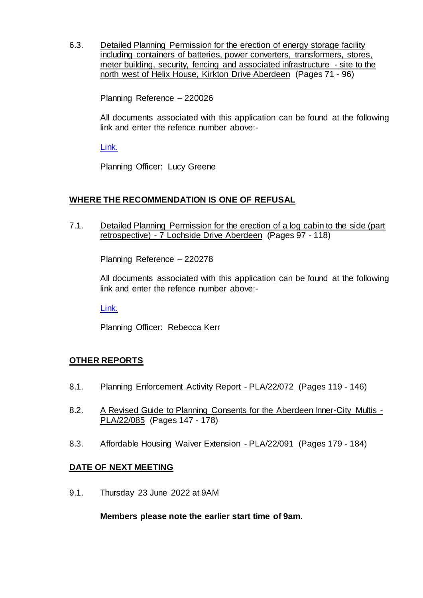6.3. Detailed Planning Permission for the erection of energy storage facility including containers of batteries, power converters, transformers, stores, meter building, security, fencing and associated infrastructure - site to the north west of Helix House, Kirkton Drive Aberdeen (Pages 71 - 96)

Planning Reference – 220026

All documents associated with this application can be found at the following link and enter the refence number above:-

[Link.](https://publicaccess.aberdeencity.gov.uk/online-applications/)

Planning Officer: Lucy Greene

#### **WHERE THE RECOMMENDATION IS ONE OF REFUSAL**

7.1. Detailed Planning Permission for the erection of a log cabin to the side (part retrospective) - 7 Lochside Drive Aberdeen (Pages 97 - 118)

Planning Reference – 220278

All documents associated with this application can be found at the following link and enter the refence number above:-

[Link.](https://publicaccess.aberdeencity.gov.uk/online-applications/)

Planning Officer: Rebecca Kerr

#### **OTHER REPORTS**

- 8.1. Planning Enforcement Activity Report PLA/22/072 (Pages 119 146)
- 8.2. A Revised Guide to Planning Consents for the Aberdeen Inner-City Multis -PLA/22/085 (Pages 147 - 178)
- 8.3. Affordable Housing Waiver Extension PLA/22/091 (Pages 179 184)

#### **DATE OF NEXT MEETING**

9.1. Thursday 23 June 2022 at 9AM

**Members please note the earlier start time of 9am.**